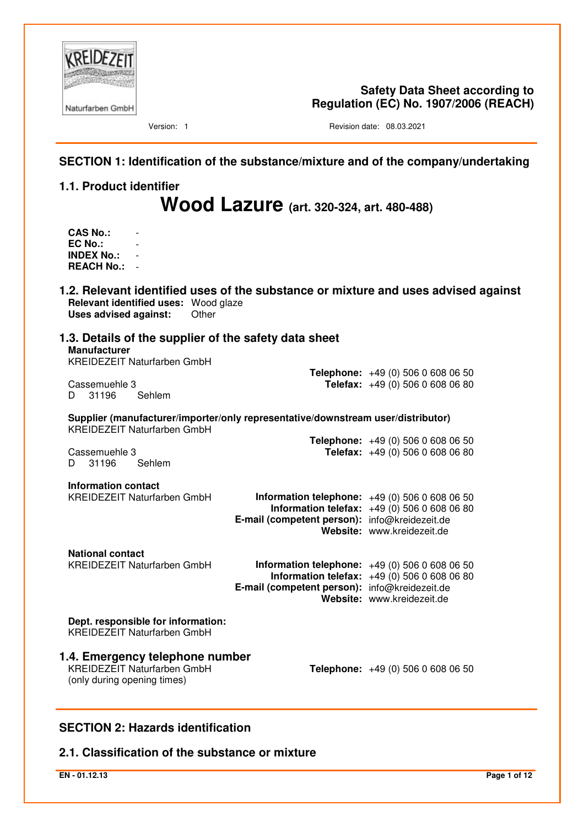

**Safety Data Sheet according to Regulation (EC) No. 1907/2006 (REACH)**

Version: 1 **Version: 1** Revision date: 08.03.2021

# **SECTION 1: Identification of the substance/mixture and of the company/undertaking**

# **1.1. Product identifier**

**Wood Lazure (art. 320-324, art. 480-488)**

**CAS No.:** - **EC No.: INDEX No.:** - **REACH No.:** -

**1.2. Relevant identified uses of the substance or mixture and uses advised against Relevant identified uses:** Wood glaze **Uses advised against:** Other **1.3. Details of the supplier of the safety data sheet Manufacturer**  KREIDEZEIT Naturfarben GmbH **Telephone:** +49 (0) 506 0 608 06 50 Cassemuehle 3 **Telefax:** +49 (0) 506 0 608 06 80  $D$  31196 **Supplier (manufacturer/importer/only representative/downstream user/distributor)**  KREIDEZEIT Naturfarben GmbH **Telephone:** +49 (0) 506 0 608 06 50 Cassemuehle 3 **Telefax:** +49 (0) 506 0 608 06 80 D 31196 Sehlem **Information contact**  KREIDEZEIT Naturfarben GmbH **Information telephone:** +49 (0) 506 0 608 06 50 **Information telefax:** +49 (0) 506 0 608 06 80 **E-mail (competent person):** info@kreidezeit.de **Website:** www.kreidezeit.de **National contact**  KREIDEZEIT Naturfarben GmbH **Information telephone:** +49 (0) 506 0 608 06 50 **Information telefax:** +49 (0) 506 0 608 06 80 **E-mail (competent person):** info@kreidezeit.de **Website:** www.kreidezeit.de **Dept. responsible for information:**  KREIDEZEIT Naturfarben GmbH **1.4. Emergency telephone number Telephone:** +49 (0) 506 0 608 06 50 (only during opening times)

# **SECTION 2: Hazards identification**

# **2.1. Classification of the substance or mixture**

**EN - 01.12.13 Page 1 of 12**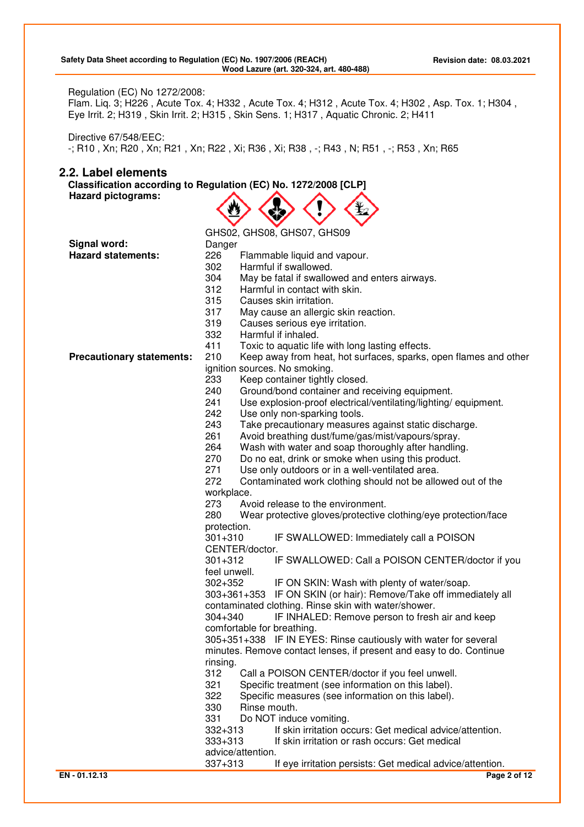### Regulation (EC) No 1272/2008:

Flam. Liq. 3; H226 , Acute Tox. 4; H332 , Acute Tox. 4; H312 , Acute Tox. 4; H302 , Asp. Tox. 1; H304 , Eye Irrit. 2; H319 , Skin Irrit. 2; H315 , Skin Sens. 1; H317 , Aquatic Chronic. 2; H411

Directive 67/548/EEC: -; R10 , Xn; R20 , Xn; R21 , Xn; R22 , Xi; R36 , Xi; R38 , -; R43 , N; R51 , -; R53 , Xn; R65

### **2.2. Label elements**

**Classification according to Regulation (EC) No. 1272/2008 [CLP] Hazard pictograms:**  AAAA

|                                  | GHS02, GHS08, GHS07, GHS09                                               |
|----------------------------------|--------------------------------------------------------------------------|
| Signal word:                     | Danger                                                                   |
| Hazard statements:               | 226<br>Flammable liquid and vapour.                                      |
|                                  | 302<br>Harmful if swallowed.                                             |
|                                  | 304<br>May be fatal if swallowed and enters airways.                     |
|                                  | 312<br>Harmful in contact with skin.                                     |
|                                  | 315<br>Causes skin irritation.                                           |
|                                  | 317<br>May cause an allergic skin reaction.                              |
|                                  | 319<br>Causes serious eye irritation.                                    |
|                                  | 332<br>Harmful if inhaled.                                               |
|                                  | 411<br>Toxic to aquatic life with long lasting effects.                  |
| <b>Precautionary statements:</b> | 210<br>Keep away from heat, hot surfaces, sparks, open flames and other  |
|                                  | ignition sources. No smoking.                                            |
|                                  | 233<br>Keep container tightly closed.                                    |
|                                  | 240<br>Ground/bond container and receiving equipment.                    |
|                                  | 241<br>Use explosion-proof electrical/ventilating/lighting/equipment.    |
|                                  | 242<br>Use only non-sparking tools.                                      |
|                                  | 243<br>Take precautionary measures against static discharge.             |
|                                  | 261<br>Avoid breathing dust/fume/gas/mist/vapours/spray.                 |
|                                  | 264<br>Wash with water and soap thoroughly after handling.               |
|                                  | 270<br>Do no eat, drink or smoke when using this product.                |
|                                  | 271<br>Use only outdoors or in a well-ventilated area.                   |
|                                  | 272<br>Contaminated work clothing should not be allowed out of the       |
|                                  | workplace.                                                               |
|                                  | 273<br>Avoid release to the environment.                                 |
|                                  | 280<br>Wear protective gloves/protective clothing/eye protection/face    |
|                                  | protection.                                                              |
|                                  | IF SWALLOWED: Immediately call a POISON<br>$301 + 310$                   |
|                                  | CENTER/doctor.                                                           |
|                                  | IF SWALLOWED: Call a POISON CENTER/doctor if you<br>$301 + 312$          |
|                                  | feel unwell.                                                             |
|                                  | $302 + 352$<br>IF ON SKIN: Wash with plenty of water/soap.               |
|                                  | 303+361+353 IF ON SKIN (or hair): Remove/Take off immediately all        |
|                                  | contaminated clothing. Rinse skin with water/shower.                     |
|                                  | $304 + 340$<br>IF INHALED: Remove person to fresh air and keep           |
|                                  | comfortable for breathing.                                               |
|                                  | 305+351+338 IF IN EYES: Rinse cautiously with water for several          |
|                                  | minutes. Remove contact lenses, if present and easy to do. Continue      |
|                                  | rinsing.                                                                 |
|                                  | 312<br>Call a POISON CENTER/doctor if you feel unwell.                   |
|                                  | 321<br>Specific treatment (see information on this label).               |
|                                  | 322<br>Specific measures (see information on this label).                |
|                                  | 330<br>Rinse mouth.                                                      |
|                                  | 331<br>Do NOT induce vomiting.                                           |
|                                  | If skin irritation occurs: Get medical advice/attention.<br>$332 + 313$  |
|                                  | $333 + 313$<br>If skin irritation or rash occurs: Get medical            |
|                                  | advice/attention.                                                        |
|                                  | $337 + 313$<br>If eye irritation persists: Get medical advice/attention. |
|                                  |                                                                          |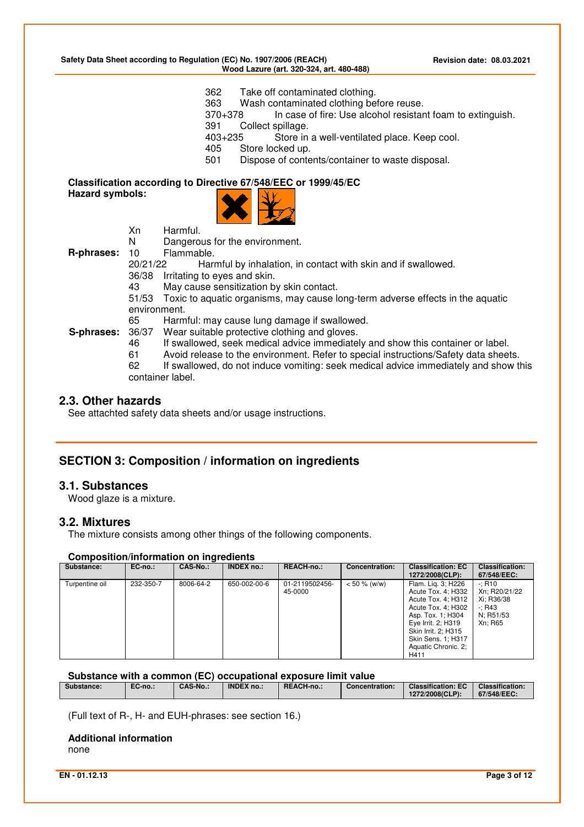**Safety Data Sheet according to Regulation (EC) No. 1907/2006 (REACH) Revision date: 08.03.2021 Wood Lazure (art. 320-324, art. 480-488)** 

362 Take off contaminated clothing.

363 Wash contaminated clothing before reuse.

370+378 In case of fire: Use alcohol resistant foam to extinguish.

391 Collect spillage.

403+235 Store in a well-ventilated place. Keep cool.

- 405 Store locked up.
- 501 Dispose of contents/container to waste disposal.

# **Classification according to Directive 67/548/EEC or 1999/45/EC**

**Hazard symbols:** 



Xn Harmful.

N Dangerous for the environment.

**R-phrases:** 10 Flammable.<br>20/21/22 Har

Harmful by inhalation, in contact with skin and if swallowed.

36/38 Irritating to eyes and skin.

43 May cause sensitization by skin contact.

51/53 Toxic to aquatic organisms, may cause long-term adverse effects in the aquatic environment.

65 Harmful: may cause lung damage if swallowed.<br>**S-phrases:** 36/37 Wear suitable protective clothing and gloves. Wear suitable protective clothing and gloves.

- 46 If swallowed, seek medical advice immediately and show this container or label.
- 61 Avoid release to the environment. Refer to special instructions/Safety data sheets.

62 If swallowed, do not induce vomiting: seek medical advice immediately and show this container label.

### **2.3. Other hazards**

See attachted safety data sheets and/or usage instructions.

# **SECTION 3: Composition / information on ingredients**

### **3.1. Substances**

Wood glaze is a mixture.

### **3.2. Mixtures**

The mixture consists among other things of the following components.

#### **Composition/information on ingredients**

| Substance:     | EC-no.:   | <b>CAS-No.:</b> | <b>INDEX no.:</b> | <b>REACH-no.:</b>         | Concentration:  | <b>Classification: EC</b><br>1272/2008(CLP):                                                                                                                                                                | <b>Classification:</b><br>67/548/EEC:                                        |
|----------------|-----------|-----------------|-------------------|---------------------------|-----------------|-------------------------------------------------------------------------------------------------------------------------------------------------------------------------------------------------------------|------------------------------------------------------------------------------|
| Turpentine oil | 232-350-7 | 8006-64-2       | 650-002-00-6      | 01-2119502456-<br>45-0000 | $< 50 \%$ (w/w) | Flam. Lig. 3; H226<br>Acute Tox. 4; H332<br>Acute Tox. 4; H312<br>Acute Tox. 4; H302<br>Asp. Tox. 1; H304<br>Eye Irrit. 2; H319<br>Skin Irrit. 2: H315<br>Skin Sens. 1; H317<br>Aquatic Chronic. 2:<br>H411 | $-: R10$<br>Xn: R20/21/22<br>Xi: R36/38<br>$-$ ; R43<br>N: R51/53<br>Xn: R65 |

**Substance with a common (EC) occupational exposure limit value** 

|  | Substance: | $\mathbf{r}$<br>EC-no.: | <b>CAS-No</b> | <b>INDEX no.:</b> | REACH-no | <b>Concentration:</b> | <b>Classification: EC</b><br>1272/2008(CLP): | <b>Classification:</b><br>67/548/EEC: |
|--|------------|-------------------------|---------------|-------------------|----------|-----------------------|----------------------------------------------|---------------------------------------|
|--|------------|-------------------------|---------------|-------------------|----------|-----------------------|----------------------------------------------|---------------------------------------|

(Full text of R-, H- and EUH-phrases: see section 16.)

### **Additional information**

none

**EN - 01.12.13 Page 3 of 12**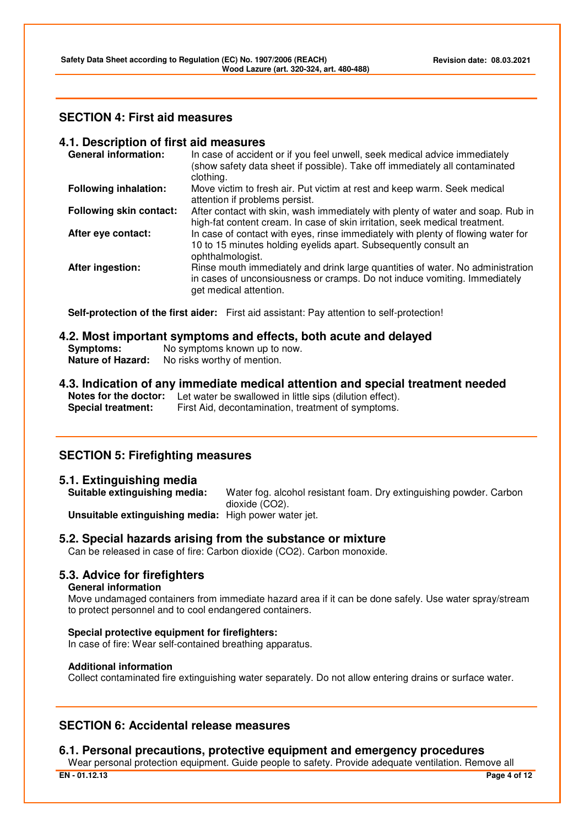# **SECTION 4: First aid measures**

### **4.1. Description of first aid measures**

| In case of accident or if you feel unwell, seek medical advice immediately<br>(show safety data sheet if possible). Take off immediately all contaminated<br>clothing.                |
|---------------------------------------------------------------------------------------------------------------------------------------------------------------------------------------|
| Move victim to fresh air. Put victim at rest and keep warm. Seek medical<br>attention if problems persist.                                                                            |
| After contact with skin, wash immediately with plenty of water and soap. Rub in<br>high-fat content cream. In case of skin irritation, seek medical treatment.                        |
| In case of contact with eyes, rinse immediately with plenty of flowing water for<br>10 to 15 minutes holding eyelids apart. Subsequently consult an<br>ophthalmologist.               |
| Rinse mouth immediately and drink large quantities of water. No administration<br>in cases of unconsiousness or cramps. Do not induce vomiting. Immediately<br>get medical attention. |
|                                                                                                                                                                                       |

**Self-protection of the first aider:** First aid assistant: Pay attention to self-protection!

# **4.2. Most important symptoms and effects, both acute and delayed**

| Symptoms:                | No symptoms known up to now. |
|--------------------------|------------------------------|
| <b>Nature of Hazard:</b> | No risks worthy of mention.  |

# **4.3. Indication of any immediate medical attention and special treatment needed**

**Notes for the doctor:** Let water be swallowed in little sips (dilution effect). **Special treatment:** First Aid, decontamination, treatment of symptoms.

# **SECTION 5: Firefighting measures**

# **5.1. Extinguishing media**

Water fog. alcohol resistant foam. Dry extinguishing powder. Carbon dioxide (CO2).

**Unsuitable extinguishing media:** High power water jet.

### **5.2. Special hazards arising from the substance or mixture**

Can be released in case of fire: Carbon dioxide (CO2). Carbon monoxide.

# **5.3. Advice for firefighters**

### **General information**

Move undamaged containers from immediate hazard area if it can be done safely. Use water spray/stream to protect personnel and to cool endangered containers.

### **Special protective equipment for firefighters:**

In case of fire: Wear self-contained breathing apparatus.

### **Additional information**

Collect contaminated fire extinguishing water separately. Do not allow entering drains or surface water.

# **SECTION 6: Accidental release measures**

# **6.1. Personal precautions, protective equipment and emergency procedures**

**EN - 01.12.13 Page 4 of 12** Wear personal protection equipment. Guide people to safety. Provide adequate ventilation. Remove all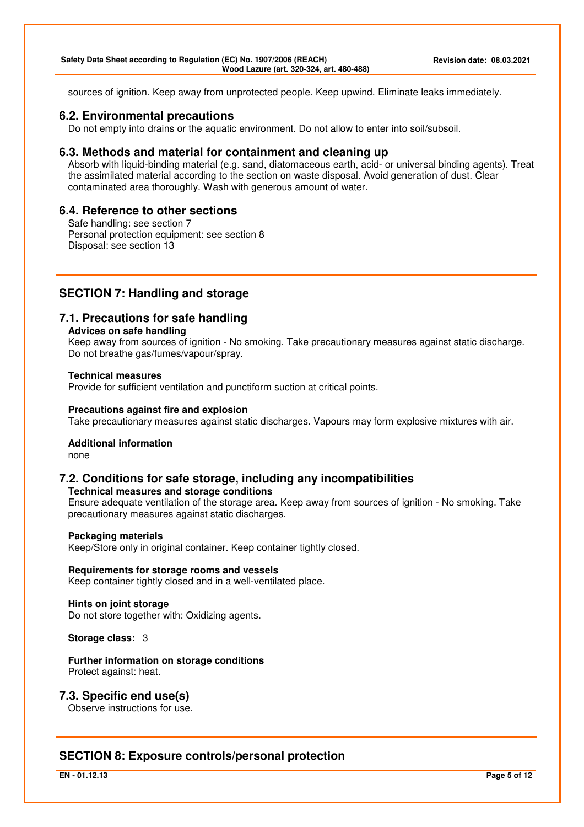sources of ignition. Keep away from unprotected people. Keep upwind. Eliminate leaks immediately.

### **6.2. Environmental precautions**

Do not empty into drains or the aquatic environment. Do not allow to enter into soil/subsoil.

### **6.3. Methods and material for containment and cleaning up**

Absorb with liquid-binding material (e.g. sand, diatomaceous earth, acid- or universal binding agents). Treat the assimilated material according to the section on waste disposal. Avoid generation of dust. Clear contaminated area thoroughly. Wash with generous amount of water.

# **6.4. Reference to other sections**

Safe handling: see section 7 Personal protection equipment: see section 8 Disposal: see section 13

# **SECTION 7: Handling and storage**

# **7.1. Precautions for safe handling**

#### **Advices on safe handling**

Keep away from sources of ignition - No smoking. Take precautionary measures against static discharge. Do not breathe gas/fumes/vapour/spray.

### **Technical measures**

Provide for sufficient ventilation and punctiform suction at critical points.

### **Precautions against fire and explosion**

Take precautionary measures against static discharges. Vapours may form explosive mixtures with air.

### **Additional information**

none

# **7.2. Conditions for safe storage, including any incompatibilities**

**Technical measures and storage conditions** 

Ensure adequate ventilation of the storage area. Keep away from sources of ignition - No smoking. Take precautionary measures against static discharges.

### **Packaging materials**

Keep/Store only in original container. Keep container tightly closed.

**Requirements for storage rooms and vessels**  Keep container tightly closed and in a well-ventilated place.

**Hints on joint storage**  Do not store together with: Oxidizing agents.

**Storage class:** 3

**Further information on storage conditions**  Protect against: heat.

### **7.3. Specific end use(s)**

Observe instructions for use.

# **SECTION 8: Exposure controls/personal protection**

**EN - 01.12.13 Page 5 of 12**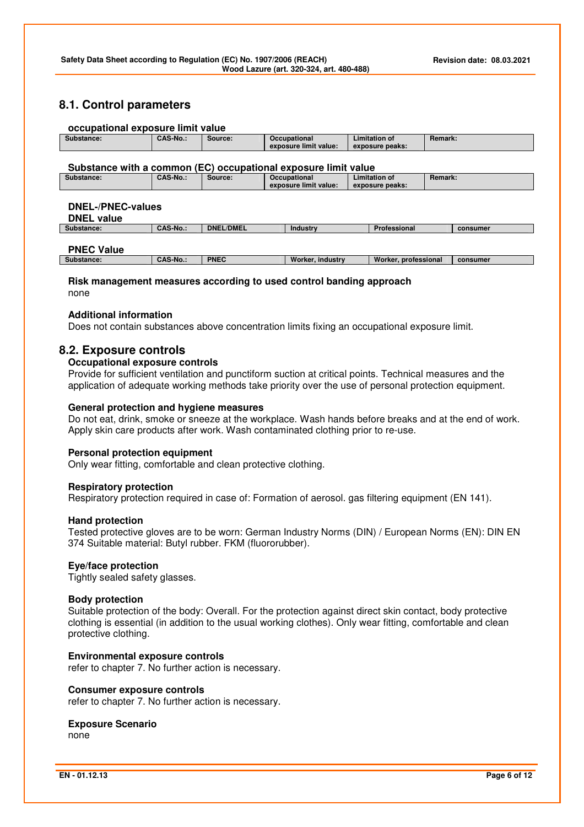# **8.1. Control parameters**

### **occupational exposure limit value**

| Substance: | <b>CAS-No</b> | <b>Source:</b> | <b>Occupational</b>   | Limitation of   | <b>Remark:</b> |
|------------|---------------|----------------|-----------------------|-----------------|----------------|
|            |               |                | exposure limit value: | exposure peaks: |                |

#### **Substance with a common (EC) occupational exposure limit value**

| Substance: | CAS-No | Source: | Occupational          | ∟imitation of   | <b>Remark:</b> |
|------------|--------|---------|-----------------------|-----------------|----------------|
|            |        |         | exposure limit value: | exposure peaks: |                |

### **DNEL-/PNEC-values**

**DNEL value** 

| Substance:        | <b>CAS-No.:</b> | <b>DNEL/DMEL</b> | luetru<br>Industr | Professional | consumer |
|-------------------|-----------------|------------------|-------------------|--------------|----------|
|                   |                 |                  |                   |              |          |
| <b>DNEC Value</b> |                 |                  |                   |              |          |

#### **PNEC Value**

| ---------------- |                            |                        |                    |                         |          |
|------------------|----------------------------|------------------------|--------------------|-------------------------|----------|
| Substance:       | M <sub>o</sub><br>"JAJ-IVO | $F = F$<br><b>PNEL</b> | industry<br>Vorker | Worker.<br>professional | consumer |
|                  |                            |                        |                    |                         |          |

### **Risk management measures according to used control banding approach**  none

#### **Additional information**

Does not contain substances above concentration limits fixing an occupational exposure limit.

### **8.2. Exposure controls**

### **Occupational exposure controls**

Provide for sufficient ventilation and punctiform suction at critical points. Technical measures and the application of adequate working methods take priority over the use of personal protection equipment.

#### **General protection and hygiene measures**

Do not eat, drink, smoke or sneeze at the workplace. Wash hands before breaks and at the end of work. Apply skin care products after work. Wash contaminated clothing prior to re-use.

### **Personal protection equipment**

Only wear fitting, comfortable and clean protective clothing.

### **Respiratory protection**

Respiratory protection required in case of: Formation of aerosol. gas filtering equipment (EN 141).

#### **Hand protection**

Tested protective gloves are to be worn: German Industry Norms (DIN) / European Norms (EN): DIN EN 374 Suitable material: Butyl rubber. FKM (fluororubber).

### **Eye/face protection**

Tightly sealed safety glasses.

### **Body protection**

Suitable protection of the body: Overall. For the protection against direct skin contact, body protective clothing is essential (in addition to the usual working clothes). Only wear fitting, comfortable and clean protective clothing.

### **Environmental exposure controls**

refer to chapter 7. No further action is necessary.

### **Consumer exposure controls**

refer to chapter 7. No further action is necessary.

#### **Exposure Scenario**  none

**EN - 01.12.13 Page 6 of 12**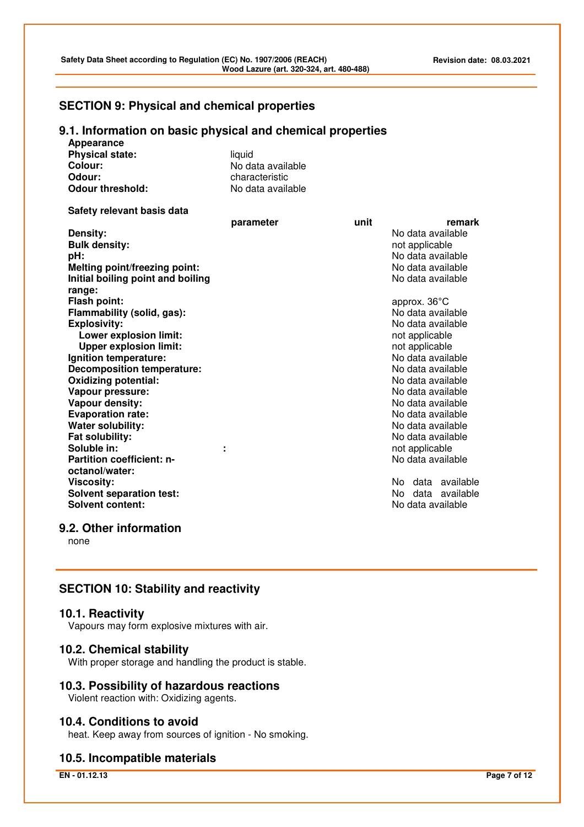# **SECTION 9: Physical and chemical properties**

# **9.1. Information on basic physical and chemical properties**

| <u>monnation on pasiv physical and chemical properties</u><br>Appearance |                   |      |                          |
|--------------------------------------------------------------------------|-------------------|------|--------------------------|
| <b>Physical state:</b>                                                   | liquid            |      |                          |
| Colour:                                                                  | No data available |      |                          |
| Odour:                                                                   | characteristic    |      |                          |
| <b>Odour threshold:</b>                                                  | No data available |      |                          |
|                                                                          |                   |      |                          |
| Safety relevant basis data                                               |                   |      |                          |
|                                                                          | parameter         | unit | remark                   |
| Density:                                                                 |                   |      | No data available        |
| <b>Bulk density:</b>                                                     |                   |      | not applicable           |
| pH:                                                                      |                   |      | No data available        |
| Melting point/freezing point:                                            |                   |      | No data available        |
| Initial boiling point and boiling                                        |                   |      | No data available        |
| range:                                                                   |                   |      |                          |
| Flash point:                                                             |                   |      | approx. 36°C             |
| Flammability (solid, gas):                                               |                   |      | No data available        |
| <b>Explosivity:</b>                                                      |                   |      | No data available        |
| Lower explosion limit:                                                   |                   |      | not applicable           |
| <b>Upper explosion limit:</b>                                            |                   |      | not applicable           |
| Ignition temperature:                                                    |                   |      | No data available        |
| <b>Decomposition temperature:</b>                                        |                   |      | No data available        |
| <b>Oxidizing potential:</b>                                              |                   |      | No data available        |
| Vapour pressure:                                                         |                   |      | No data available        |
| Vapour density:                                                          |                   |      | No data available        |
| <b>Evaporation rate:</b>                                                 |                   |      | No data available        |
| <b>Water solubility:</b>                                                 |                   |      | No data available        |
| Fat solubility:                                                          |                   |      | No data available        |
| Soluble in:                                                              |                   |      | not applicable           |
| <b>Partition coefficient: n-</b>                                         |                   |      | No data available        |
| octanol/water:                                                           |                   |      |                          |
| <b>Viscosity:</b>                                                        |                   |      | No data available        |
| <b>Solvent separation test:</b>                                          |                   |      | data<br>available<br>No. |
| <b>Solvent content:</b>                                                  |                   |      | No data available        |
|                                                                          |                   |      |                          |

# **9.2. Other information**

none

# **SECTION 10: Stability and reactivity**

### **10.1. Reactivity**

Vapours may form explosive mixtures with air.

### **10.2. Chemical stability**

With proper storage and handling the product is stable.

# **10.3. Possibility of hazardous reactions**

Violent reaction with: Oxidizing agents.

# **10.4. Conditions to avoid**

heat. Keep away from sources of ignition - No smoking.

# **10.5. Incompatible materials**

**EN - 01.12.13 Page 7 of 12**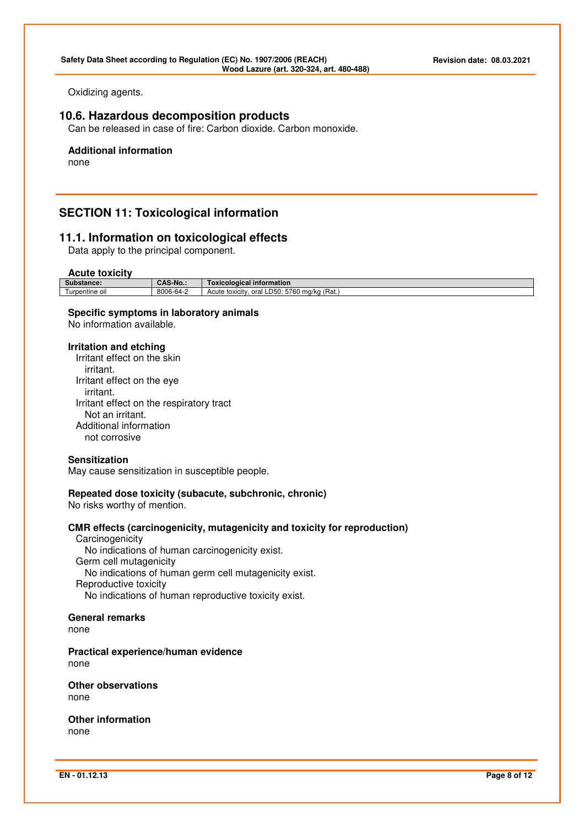Oxidizing agents.

# **10.6. Hazardous decomposition products**

Can be released in case of fire: Carbon dioxide. Carbon monoxide.

# **Additional information**

none

# **SECTION 11: Toxicological information**

# **11.1. Information on toxicological effects**

Data apply to the principal component.

#### **Acute toxicity**

| <b>AVUIV IVAIVILY</b> |                 |                                                           |
|-----------------------|-----------------|-----------------------------------------------------------|
| Substance:            | <b>CAS-No.:</b> | ∣ information<br>Toxicological                            |
| Turpentine oil        | 8006-64-2       | 'Rat.<br>5760 ma/ka<br>$LD50^+$<br>Acute toxicity<br>oral |

### **Specific symptoms in laboratory animals**

No information available.

#### **Irritation and etching**

Irritant effect on the skin irritant. Irritant effect on the eye irritant. Irritant effect on the respiratory tract Not an irritant. Additional information not corrosive

### **Sensitization**

May cause sensitization in susceptible people.

### **Repeated dose toxicity (subacute, subchronic, chronic)**

No risks worthy of mention.

### **CMR effects (carcinogenicity, mutagenicity and toxicity for reproduction)**

**Carcinogenicity**  No indications of human carcinogenicity exist. Germ cell mutagenicity No indications of human germ cell mutagenicity exist. Reproductive toxicity No indications of human reproductive toxicity exist.

#### **General remarks**

none

**Practical experience/human evidence**  none

**Other observations**  none

**Other information**  none

**EN - 01.12.13 Page 8 of 12**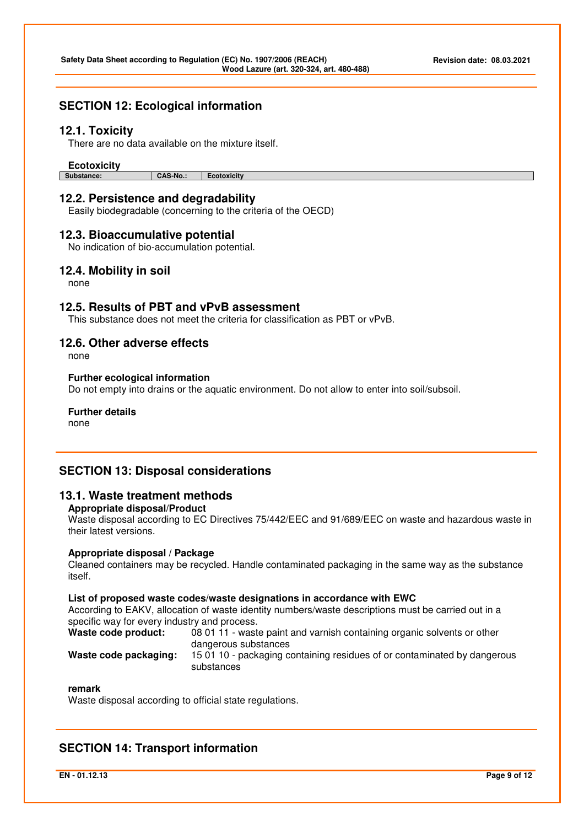# **SECTION 12: Ecological information**

### **12.1. Toxicity**

There are no data available on the mixture itself.

# **Ecotoxicity**

**Substance: CAS-No.: Ecotoxicity** 

# **12.2. Persistence and degradability**

Easily biodegradable (concerning to the criteria of the OECD)

### **12.3. Bioaccumulative potential**

No indication of bio-accumulation potential.

### **12.4. Mobility in soil**

none

# **12.5. Results of PBT and vPvB assessment**

This substance does not meet the criteria for classification as PBT or vPvB.

# **12.6. Other adverse effects**

none

### **Further ecological information**

Do not empty into drains or the aquatic environment. Do not allow to enter into soil/subsoil.

#### **Further details**

none

# **SECTION 13: Disposal considerations**

### **13.1. Waste treatment methods**

#### **Appropriate disposal/Product**

Waste disposal according to EC Directives 75/442/EEC and 91/689/EEC on waste and hazardous waste in their latest versions.

#### **Appropriate disposal / Package**

Cleaned containers may be recycled. Handle contaminated packaging in the same way as the substance itself.

#### **List of proposed waste codes/waste designations in accordance with EWC**

According to EAKV, allocation of waste identity numbers/waste descriptions must be carried out in a specific way for every industry and process.

| Waste code product:   | 08 01 11 - waste paint and varnish containing organic solvents or other  |
|-----------------------|--------------------------------------------------------------------------|
|                       | dangerous substances                                                     |
| Waeta coda nackaging. | 15.01.10 - packaging containing residuos of or contaminated by dangerous |

#### **Waste code packaging:** 15 01 10 - packaging containing residues of or contaminated by dangerous substances

### **remark**

Waste disposal according to official state regulations.

# **SECTION 14: Transport information**

**EN - 01.12.13 Page 9 of 12**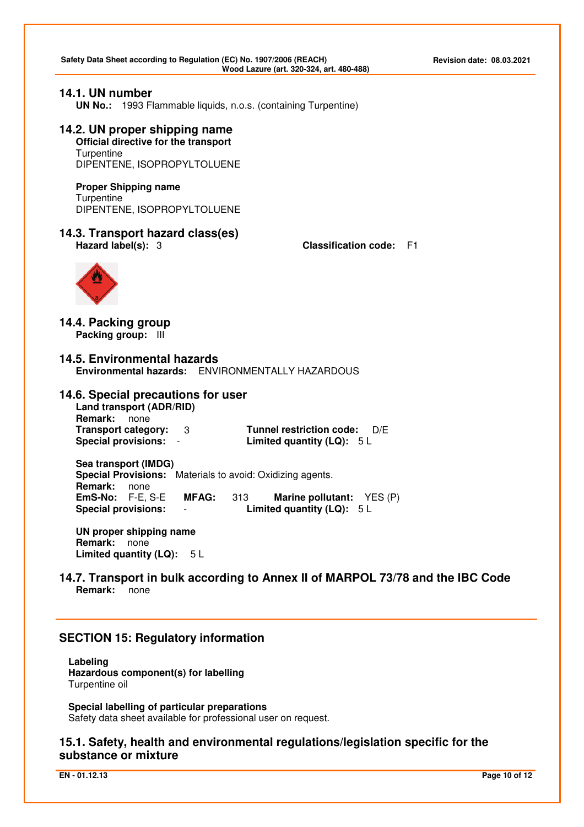### **14.1. UN number**

**UN No.:** 1993 Flammable liquids, n.o.s. (containing Turpentine)

# **14.2. UN proper shipping name Official directive for the transport**

**Turpentine** DIPENTENE, ISOPROPYLTOLUENE

**Proper Shipping name Turpentine** DIPENTENE, ISOPROPYLTOLUENE

# **14.3. Transport hazard class(es)**

**Hazard label(s):** 3 **Classification code:** F1



**14.4. Packing group Packing group:** III

**14.5. Environmental hazards Environmental hazards:** ENVIRONMENTALLY HAZARDOUS

# **14.6. Special precautions for user**

**Land transport (ADR/RID) Remark:** none

**Transport category:** 3 **Tunnel restriction code:** D/E **Special provisions:** - **Limited quantity (LQ):** 5 L

**Sea transport (IMDG) Special Provisions:** Materials to avoid: Oxidizing agents. **Remark:** none<br>**EmS-No:** F-E, S-E **MFAG:** 313 **Marine pollutant:**  $YES(P)$ **Special provisions:** - **Limited quantity (LQ):** 5 L

**UN proper shipping name Remark:** none **Limited quantity (LQ):** 5 L

**14.7. Transport in bulk according to Annex II of MARPOL 73/78 and the IBC Code Remark:** none

# **SECTION 15: Regulatory information**

**Labeling Hazardous component(s) for labelling**  Turpentine oil

**Special labelling of particular preparations**  Safety data sheet available for professional user on request.

# **15.1. Safety, health and environmental regulations/legislation specific for the substance or mixture**

**EN - 01.12.13 Page 10 of 12**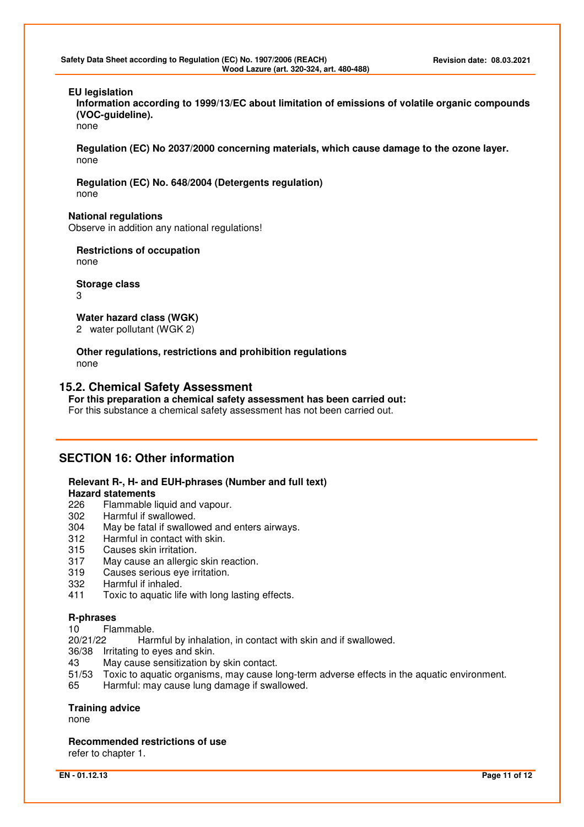**Safety Data Sheet according to Regulation (EC) No. 1907/2006 (REACH) Revision date: 08.03.2021 Wood Lazure (art. 320-324, art. 480-488)** 

### **EU legislation**

**Information according to 1999/13/EC about limitation of emissions of volatile organic compounds (VOC-guideline).** 

none

**Regulation (EC) No 2037/2000 concerning materials, which cause damage to the ozone layer.**  none

**Regulation (EC) No. 648/2004 (Detergents regulation)** none

### **National regulations**

Observe in addition any national regulations!

**Restrictions of occupation**  none

**Storage class**  3

**Water hazard class (WGK)**  2 water pollutant (WGK 2)

**Other regulations, restrictions and prohibition regulations**  none

### **15.2. Chemical Safety Assessment**

**For this preparation a chemical safety assessment has been carried out:** 

For this substance a chemical safety assessment has not been carried out.

# **SECTION 16: Other information**

### **Relevant R-, H- and EUH-phrases (Number and full text)**

#### **Hazard statements**

- 226 Flammable liquid and vapour.<br>302 Harmful if swallowed.
- Harmful if swallowed.
- 304 May be fatal if swallowed and enters airways.
- 312 Harmful in contact with skin.<br>315 Causes skin irritation.
- Causes skin irritation.
- 317 May cause an allergic skin reaction.
- 319 Causes serious eye irritation.
- 332 Harmful if inhaled.
- 411 Toxic to aquatic life with long lasting effects.

### **R-phrases**

10 Flammable.

20/21/22 Harmful by inhalation, in contact with skin and if swallowed.

36/38 Irritating to eyes and skin.

- 43 May cause sensitization by skin contact.
- 51/53 Toxic to aquatic organisms, may cause long-term adverse effects in the aquatic environment.
- 65 Harmful: may cause lung damage if swallowed.

### **Training advice**

none

**Recommended restrictions of use** 

refer to chapter 1.